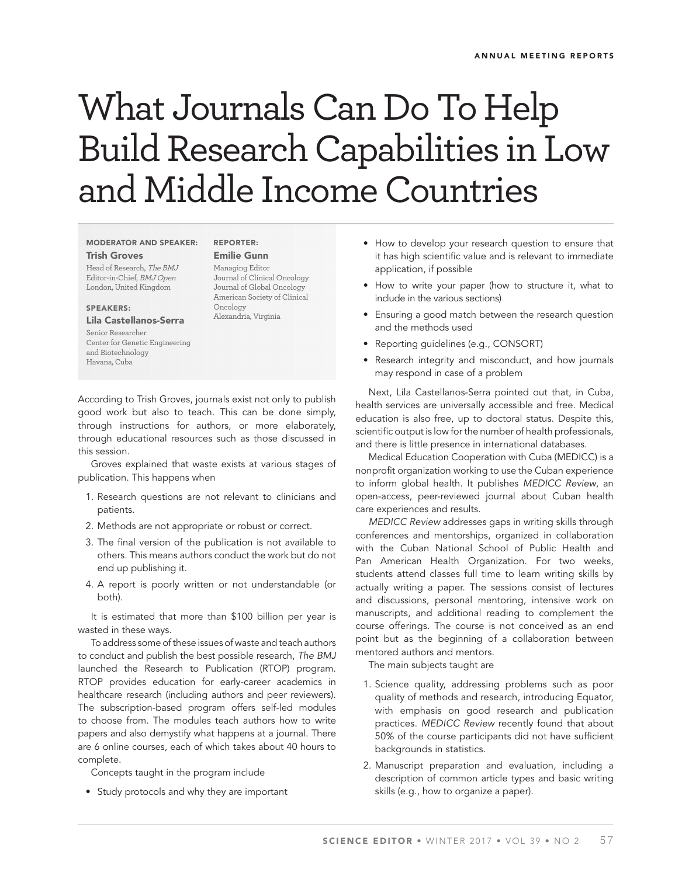# What Journals Can Do To Help Build Research Capabilities in Low and Middle Income Countries

#### **MODERATOR AND SPEAKER: Trish Groves**

Head of Research, The BMJ Editor-in-Chief, BMJ Open London, United Kingdom

#### **SPEAKERS:**

### **Lila Castellanos-Serra**

Senior Researcher Center for Genetic Engineering and Biotechnology Havana, Cuba

## **REPORTER: Emilie Gunn**

Managing Editor Journal of Clinical Oncology Journal of Global Oncology American Society of Clinical Oncology Alexandria, Virginia

According to Trish Groves, journals exist not only to publish good work but also to teach. This can be done simply, through instructions for authors, or more elaborately, through educational resources such as those discussed in this session.

Groves explained that waste exists at various stages of publication. This happens when

- 1. Research questions are not relevant to clinicians and patients.
- 2. Methods are not appropriate or robust or correct.
- 3. The final version of the publication is not available to others. This means authors conduct the work but do not end up publishing it.
- 4. A report is poorly written or not understandable (or both).

It is estimated that more than \$100 billion per year is wasted in these ways.

To address some of these issues of waste and teach authors to conduct and publish the best possible research, The BMJ launched the Research to Publication (RTOP) program. RTOP provides education for early-career academics in healthcare research (including authors and peer reviewers). The subscription-based program offers self-led modules to choose from. The modules teach authors how to write papers and also demystify what happens at a journal. There are 6 online courses, each of which takes about 40 hours to complete.

Concepts taught in the program include

• Study protocols and why they are important

- How to develop your research question to ensure that it has high scientific value and is relevant to immediate application, if possible
- How to write your paper (how to structure it, what to include in the various sections)
- Ensuring a good match between the research question and the methods used
- Reporting guidelines (e.g., CONSORT)
- Research integrity and misconduct, and how journals may respond in case of a problem

Next, Lila Castellanos-Serra pointed out that, in Cuba, health services are universally accessible and free. Medical education is also free, up to doctoral status. Despite this, scientific output is low for the number of health professionals, and there is little presence in international databases.

Medical Education Cooperation with Cuba (MEDICC) is a nonprofit organization working to use the Cuban experience to inform global health. It publishes MEDICC Review, an open-access, peer-reviewed journal about Cuban health care experiences and results.

MEDICC Review addresses gaps in writing skills through conferences and mentorships, organized in collaboration with the Cuban National School of Public Health and Pan American Health Organization. For two weeks, students attend classes full time to learn writing skills by actually writing a paper. The sessions consist of lectures and discussions, personal mentoring, intensive work on manuscripts, and additional reading to complement the course offerings. The course is not conceived as an end point but as the beginning of a collaboration between mentored authors and mentors.

The main subjects taught are

- 1. Science quality, addressing problems such as poor quality of methods and research, introducing Equator, with emphasis on good research and publication practices. MEDICC Review recently found that about 50% of the course participants did not have sufficient backgrounds in statistics.
- 2. Manuscript preparation and evaluation, including a description of common article types and basic writing skills (e.g., how to organize a paper).